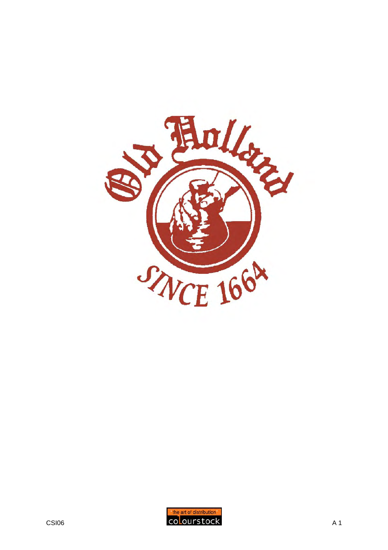

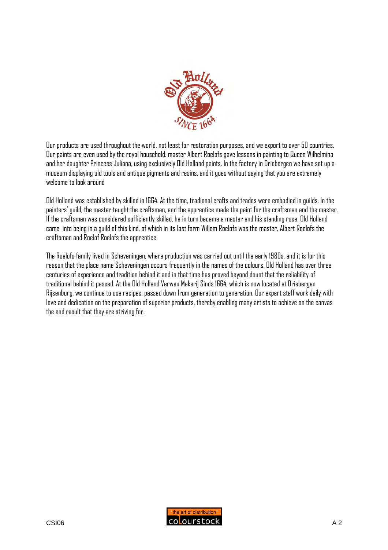

Our products are used throughout the world, not least for restoration purposes, and we export to over 50 countries. Our paints are even used by the royal household: master Albert Roelofs gave lessons in painting to Queen Wilhelmina and her daughter Princess Juliana, using exclusively Old Holland paints. In the factory in Driebergen we have set up a museum displaying old tools and antique pigments and resins, and it goes without saying that you are extremely welcome to look around

Old Holland was established by skilled in 1664. At the time, tradional crafts and trades were embodied in guilds. In the painters' guild, the master taught the craftsman, and the apprentice made the paint for the craftsman and the master. If the craftsman was considered sufficiently skilled, he in turn became a master and his standing rose. Old Holland came into being in a guild of this kind, of which in its last form Willem Roelofs was the master, Albert Roelofs the craftsman and Roelof Roelofs the apprentice.

The Roelofs family lived in Scheveningen, where production was carried out until the early 1980s, and it is for this reason that the place name Scheveningen occurs frequently in the names of the colours. Old Holland has over three centuries of experience and tradition behind it and in that time has proved beyond dount that the reliability of traditional behind it passed. At the Old Holland Verwen Makerij Sinds 1664, which is now located at Driebergen Rijsenburg, we continue to use recipes, passed down from generation to generation. Our expert staff work daily with love and dedication on the preparation of superior products, thereby enabling many artists to achieve on the canvas the end result that they are striving for.

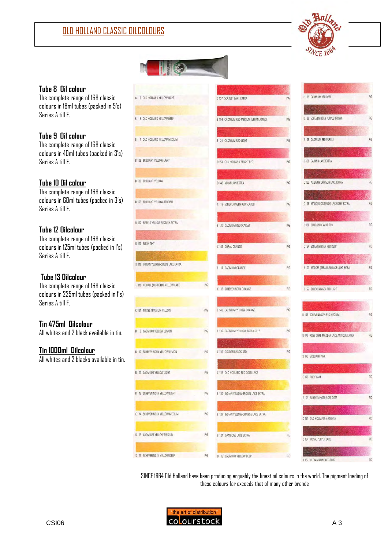

# **Tube 8 Oil colour**

l

The complete range of 168 classic colours in 18ml tubes (packed in 5's) Series A till F.

# **Tube 9 Oil colour**

The complete range of 168 classic colours in 40ml tubes (packed in 3's) Series A till F.

# **Tube 10 Oil colour**

The complete range of 168 classic colours in 60ml tubes (packed in 3's) Series A till F.

# **Tube 12 Oilcolour**

The complete range of 168 classic colours in 125ml tubes (packed in 1's) Series A till F.

# **Tube 13 Oilcolour**

The complete range of 168 classic colours in 225ml tubes (packed in 1's) Series A till F.

# **Tin 475ml Oilcolour**

All whites and 2 black available in tin.

#### **Tin 1000ml Oilcolour**

All whites and 2 blacks available in tin.

|     | C 157 SCARLET LAKE EXTRA<br>E 154 CADMIUM RED MEDIUM (VERMILIONED)<br>E 21 CADMIUM RED LIGHT<br>D 151 OLD HOLLAND BRIGHT RED<br>D 148 VERMILION EXTRA |
|-----|-------------------------------------------------------------------------------------------------------------------------------------------------------|
|     |                                                                                                                                                       |
|     |                                                                                                                                                       |
|     |                                                                                                                                                       |
|     |                                                                                                                                                       |
|     |                                                                                                                                                       |
|     |                                                                                                                                                       |
|     |                                                                                                                                                       |
|     | C 19 SCHEVENINGEN RED SCARLET                                                                                                                         |
|     | E 20 CADMIUM RED SCARLET                                                                                                                              |
|     | C 145 CORAL ORANGE                                                                                                                                    |
|     | E 17 CADMIUM ORANGE                                                                                                                                   |
| PIG |                                                                                                                                                       |
|     | C 18 SCHEVENINGEN ORANGE                                                                                                                              |
| PIG | E 142 CADMIUM YELLOW ORANGE                                                                                                                           |
| PIG | E 139 CADMIUM YELLLOW EXTRA-DEEP                                                                                                                      |
| PIG | C 136 GOLDEN BAROK RED                                                                                                                                |
| PIG | C 133 OLD HOLLAND RED GOLD LAKE                                                                                                                       |
| PIG | B 130 INDIAN YELLOW-BROWN LAKE EXTRA                                                                                                                  |
| PIG | B 127 INDIAN YELLOW-ORANGE LAKE EXTRA                                                                                                                 |
|     |                                                                                                                                                       |
| PIG | <b>B 124 GAMBOGE LAKE EXTRA</b>                                                                                                                       |
|     |                                                                                                                                                       |

 $\mathbb{L}(\mathbb{C})$ 

| E 23 CADMIUM RED DEEP                     | PIG  |
|-------------------------------------------|------|
|                                           |      |
| D 26 SCHEVENINGEN PURPLE BROWN            | PIG  |
|                                           |      |
| 25 CADMIUM RED PURPLE<br>E.               | PIG  |
|                                           |      |
| D 160 CARMIN LAKE EXTRA                   |      |
|                                           |      |
| C 163 ALIZARIN CRIMSON LAKE EXTRA         | PIG  |
|                                           |      |
| C 28 MADDER (CRIMSON) LAKE DEEP EXTRA     | PIG  |
|                                           |      |
| D 166 BURGUNDY WINE RED                   | PIG  |
|                                           |      |
| C 24 SCHEVENINGEN RED DEEP                | PIG  |
|                                           |      |
| B 27 MADDER (GERANIUM) LAKE LIGHT EXTRA   | PIG  |
|                                           |      |
|                                           |      |
| <b>B 22 SCHEVENINGEN RED LIGHT</b>        | PIG  |
|                                           |      |
|                                           | PIG. |
| B 169 SCHEVENINGEN RED MEDIUM             |      |
| B 172 ROSE DORE MADDER LAKE ANTIQUE EXTRA | PIG  |
|                                           |      |
| <b>B 175 BRILLIANT PINK</b>               |      |
|                                           |      |
| C 178 RUBY LAKE                           | PIG  |
|                                           |      |
| 29 SCHEVENINGEN ROSE DEEP<br>Ē            | PIG  |
|                                           |      |
| D 181 OLD HOLLAND MAGENTA                 | PIG  |
|                                           |      |
| C 184 ROYAL PURPER LAKE                   | PIG  |
|                                           |      |

 $pi$ 

 $PIG$ 

SINCE 1664 Old Holland have been producing arguably the finest oil colours in the world. The pigment loading of these colours far exceeds that of many other brands

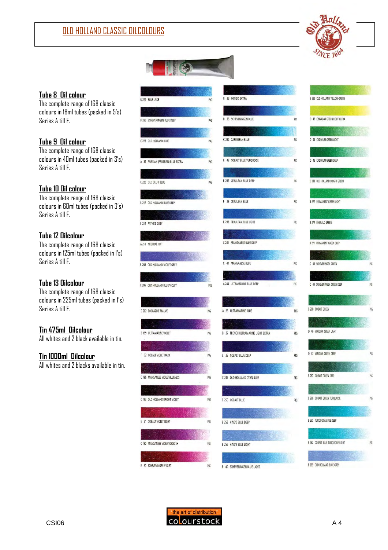



# **Tube 8 Oil colour**

The complete range of 168 classic colours in 18ml tubes (packed in 5's) Series A till F.

# **Tube 9 Oil colour**

The complete range of 168 classic colours in 40ml tubes (packed in 3's) Series A till F.

#### **Tube 10 Oil colour**

The complete range of 168 classic colours in 60ml tubes (packed in 3's) Series A till F.

## **Tube 12 Oilcolour**

The complete range of 168 classic colours in 125ml tubes (packed in 1's) Series A till F.

# **Tube 13 Oilcolour**

The complete range of 168 classic colours in 225ml tubes (packed in 1's) Series A till F.

# **Tin 475ml Oilcolour**

All whites and 2 black available in tin.

#### **Tin 1000ml Oilcolour**

All whites and 2 blacks available in tin.

| <b>B 229 BLUE LAKE</b>              | PIG |
|-------------------------------------|-----|
|                                     |     |
| B 226 SCHEVENINGEN BLUE DEEP        | PIG |
|                                     |     |
| C 223 OLD HOLLAND BLUE              | PIG |
|                                     |     |
| A 34 PARISIAN (PRUSSIAN) BLUE EXTRA | PIG |
|                                     |     |
| C 220 OLD DELFT BLUE                | PIG |
|                                     |     |
| B 217 OLD HOLLAND BLUE DEEP         |     |
|                                     |     |
| <b>B 214 PAYNE'S GREY</b>           |     |
|                                     |     |
| A 211 NEUTRAL TINT                  |     |
|                                     |     |
| B 208 OLD HOLLAND VIOLET-GREY       |     |
|                                     |     |
|                                     |     |
| C 205 OLD HOLLAND BLUE-VIOLET       | PIG |
|                                     |     |
| C 202 DIOXAZINE MAUVE               | PIG |
|                                     |     |
| <b>B 199 ULTRAMARINE VIOLET</b>     | PIG |
|                                     |     |
|                                     |     |
| 32 COBALT VIOLET DARK<br>٤          | PIG |
|                                     |     |
| C 196 MANGANESE VIOLET-BLUENESS     | PIG |
|                                     |     |
| C 193 OLD HOLLAND BRIGHT VIOLET     | PIG |
|                                     |     |
| 31 COBALT VIOLET LIGHT<br>Ε         | PIG |
|                                     |     |
|                                     |     |
| C 190 MANGANESE VIOLET-REDDISH      | PIG |
|                                     |     |
| 30 SCHEVENINGEN VIOLET<br>Ε         | PIG |

|  | 33 INDIGO EXTRA                   |     |
|--|-----------------------------------|-----|
|  |                                   |     |
|  | 35 SCHEVENINGEN BLUE              | PIC |
|  |                                   |     |
|  | 232 CARRIBEAN BLUE                | PIG |
|  |                                   |     |
|  | 42 COBALT BLUE TURQUOISE          | PIG |
|  |                                   |     |
|  | 235 CERULEAN BLUE DEEP            | PIG |
|  |                                   |     |
|  | 39 CERULEAN BLUE                  |     |
|  |                                   | PIG |
|  |                                   |     |
|  | 238 CERULEAN BLUE LIGHT           | PIG |
|  |                                   |     |
|  | 241 MANGANESE BLUE DEEP           |     |
|  |                                   |     |
|  | 41 MANGANESE BLUE                 | PIG |
|  |                                   |     |
|  | 244 ULTRAMARINE BLUE DEEP         | PIG |
|  |                                   |     |
|  |                                   |     |
|  | 36 ULTRAMARINE BLUE               | PIG |
|  |                                   |     |
|  | 37 FRENCH ULTRAMARINE LIGHT EXTRA | PIG |
|  |                                   |     |
|  | 38 COBALT BLUE DEEP               | PIG |
|  |                                   |     |
|  | 247 OLD HOLLAND CYAN BLUE         | PIG |
|  |                                   |     |
|  |                                   |     |
|  | 250 COBALT BLUE                   | PIG |
|  |                                   |     |

F

 $\mathsf{C}$ 

 $E$ 

 $PIG$ 

B 253 KING'S BLUE DEEP

**B 256 KING'S BLUE LIGHT** 

B 40 SCHEVENINGEN BLUE LIGHT

| B 283 OLD HOLLAND YELLOW-GREEN     |     |
|------------------------------------|-----|
|                                    |     |
| D 43 CINNABAR GREEN LIGHT EXTRA    |     |
|                                    |     |
| D 44 CADMIUM GREEN LIGHT           |     |
|                                    |     |
| D 45 CADMIUM GREEN DEEP            |     |
|                                    |     |
| C 280 OLD HOLLAND BRIGHT GREEN     |     |
|                                    |     |
| <b>B 277 PERMANENT GREEN LIGHT</b> |     |
|                                    |     |
| <b>B 274 EMERALD GREEN</b>         |     |
|                                    |     |
| B 271 PERMANENT GREEN DEEP         |     |
| N.                                 |     |
| C 48 SCHEVENINGEN GREEN            | PIG |
|                                    |     |
| C 49 SCHEVENINGEN GREEN DEEP       | PIG |
|                                    |     |
| E 268 COBALT GREEN                 | PIC |
|                                    |     |
| D 46 VIRIDIAN GREEN LIGHT          |     |
|                                    |     |
| D 47 VIRIDIAN GREEN DEEP           | PIC |
|                                    |     |
| E 267 COBALT GREEN DEEP            | PIC |
|                                    |     |
| E 266 COBALT GREEN TURQUOISE       | PIC |
|                                    |     |
|                                    |     |
| <b>B 265 TURQUOISE BLUE DEEP</b>   |     |
|                                    |     |
| E 262 COBALT BLUE TURQUOISE LIGHT  | PIG |
|                                    |     |
| B 259 OLD HOLLAND BLUE-GREY        |     |

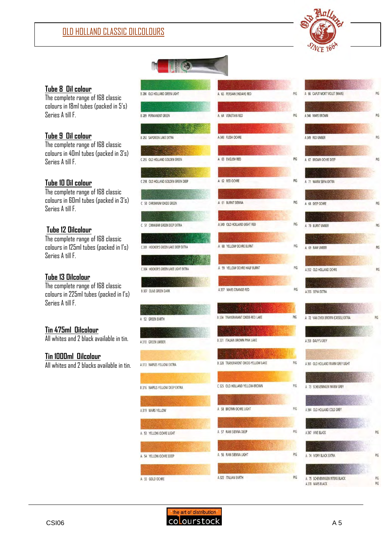

# A

**Tube 8 Oil colour**

The complete range of 168 classic colours in 18ml tubes (packed in 5's) Series A till F.

#### **Tube 9 Oil colour**

The complete range of 168 classic colours in 40ml tubes (packed in 3's) Series A till F.

#### **Tube 10 Oil colour**

The complete range of 168 classic colours in 60ml tubes (packed in 3's) Series A till F.

#### **Tube 12 Oilcolour**

The complete range of 168 classic colours in 125ml tubes (packed in 1's) Series A till F.

#### **Tube 13 Oilcolour**

The complete range of 168 classic colours in 225ml tubes (packed in 1's) Series A till F.

# **Tin 475ml Oilcolour**

All whites and 2 black available in tin.

#### **Tin 1000ml Oilcolour**

All whites and 2 blacks available in tin.

B 286 OLD HOLLAND GREEN LIGHT A 65 PERSIAN (INDIAN) RED B 289 PERMANENT GREEN A 64 VENETIAN RED A 343 FLESH OCHRE **B 292 SAPGREEN LAKE EXTRA** A 63 ENGLISH RED C 295 OLD HOLLAND GOLDEN GREEN C 298 OLD HOLLAND GOLDEN GREEN DEEP A 62 RED OCHRE A 61 BURNT SIENNA C 50 CHROMIUM OXIDE GREEN A 340 OLD HOLLAND LIGHT RED C 51 CINNABAR GREEN DEEP EXTRA A 60 YELLOW OCHRE BURNT C 301 HOOKER'S GREEN LAKE DEEP EXTRA A 59 YELLOW OCHRE HALF BURNT C 304 HOOKER'S GREEN LAKE LIGHT EXTRA A 337 MARS ORANGE-RED **B 307 OLIVE GREEN DARK B 334 TRANSPARANT OXIDE-RED LAKE** A 52 GREEN EARTH **B 331 ITALIAN BROWN PINK LAKE** A 310 GREEN UMBER B 328 TRANSPARENT OXIDE-YELLOW LAKE A 313 NAPLES YELLOW EXTRA C 325 OLD HOLLAND YELLOW-BROWN **B 316 NAPELS YELLOW DEEP EXTRA** A 58 BROWN OCHRE LIGHT A 319 MARS YELLOW A 57 RAW SIENNA DEEP A 53 YELLOW OCHRE LIGHT A 56 RAW SIENNA LIGHT A 54 YELLOW OCHRE DEEP A 322 ITALIAN EARTH A 55 GOLD OCHRE



|        |    | A 66 CAPUT MORT VIOLET (MARS)               | PIG        |
|--------|----|---------------------------------------------|------------|
|        |    |                                             |            |
|        |    | A 346 MARS BROWN                            | PIG        |
|        |    |                                             |            |
|        |    | A 349 RED UMBER                             | PIG        |
|        |    |                                             |            |
|        |    | A 67 BROWN OCHRE DEEP                       | PIG        |
|        |    |                                             |            |
|        |    | A 71 WARM SEPIA EXTRA                       |            |
|        |    |                                             |            |
|        |    | A 68 DEEP OCHRE                             | PIG        |
|        |    |                                             |            |
|        |    | 70 BURNT UMBER                              | PIG        |
|        |    |                                             |            |
|        |    | A 69 RAW UMBER                              | PIG        |
|        |    |                                             |            |
|        |    | A 352 OLD HOLLAND OCHRE                     | PIG        |
|        |    |                                             |            |
|        |    | A 355 SEPIA EXTRA                           |            |
|        |    |                                             |            |
|        |    |                                             |            |
|        |    | A 72 VAN DYCK BROWN (CASSEL) EXTRA          | PIG        |
|        |    |                                             |            |
|        |    | A 358 DAVY'S GREY                           |            |
|        |    |                                             |            |
|        |    | A 361 OLD HOLLAND WARM GREY LIGHT           |            |
|        |    |                                             |            |
|        |    | 73 SCHEVENINGEN WARM GREY                   |            |
|        |    |                                             |            |
|        |    | A 364 OLD HOLLAND COLD GREY                 |            |
|        |    |                                             |            |
|        |    | A 367 VINE BLACK                            | PIG        |
|        |    |                                             |            |
|        |    |                                             |            |
|        |    | A 74 IVORY BLACK EXTRA                      | PIG        |
|        |    |                                             |            |
| А<br>А | 75 | SCHEVENINGEN INTENS BLACK<br>370 MARS BLACK | PIG<br>PIG |



PIG

PIG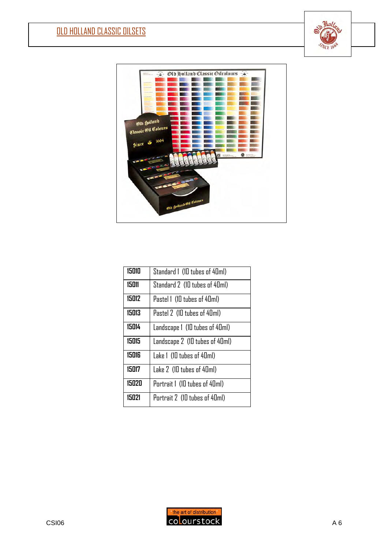l





| 15010 | Standard 1 (10 tubes of 40ml)  |
|-------|--------------------------------|
| 15011 | Standard 2 (10 tubes of 40ml)  |
| 15012 | Pastel 1 (10 tubes of 40ml)    |
| 15013 | Pastel 2 (10 tubes of 40ml)    |
| 15014 | Landscape 1 (10 tubes of 40ml) |
| 15015 | Landscape 2 (10 tubes of 40ml) |
| 15016 | Lake 1 (10 tubes of 40ml)      |
| 15017 | Lake 2 (10 tubes of 40ml)      |
| 15020 | Portrait 1 (10 tubes of 40ml)  |
| 15021 | Portrait 2 (10 tubes of 40ml)  |